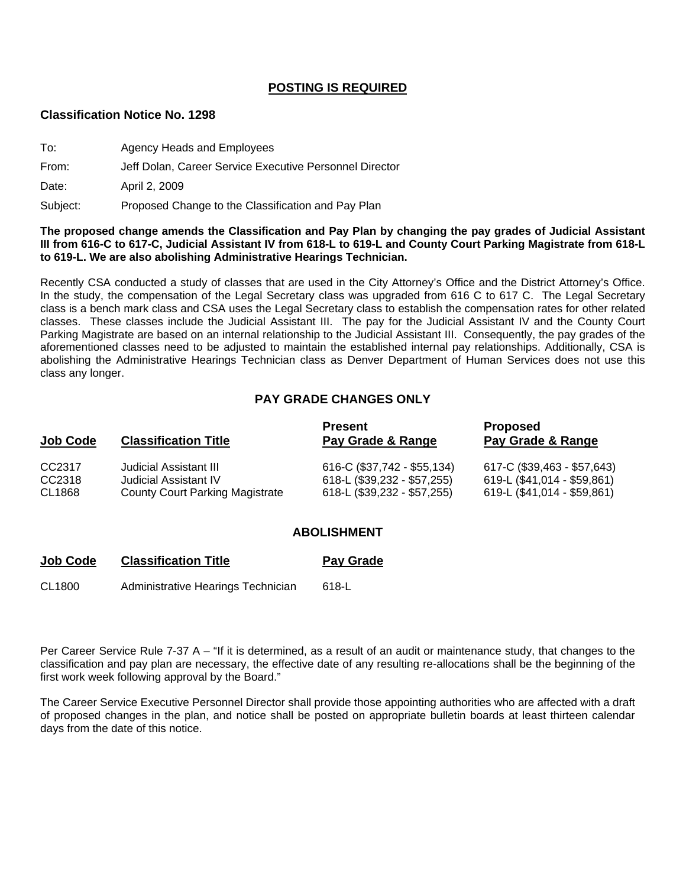### **POSTING IS REQUIRED**

#### **Classification Notice No. 1298**

| To:      | <b>Agency Heads and Employees</b>                       |  |
|----------|---------------------------------------------------------|--|
| From:    | Jeff Dolan, Career Service Executive Personnel Director |  |
| Date:    | April 2, 2009                                           |  |
| Subject: | Proposed Change to the Classification and Pay Plan      |  |

#### **The proposed change amends the Classification and Pay Plan by changing the pay grades of Judicial Assistant III from 616-C to 617-C, Judicial Assistant IV from 618-L to 619-L and County Court Parking Magistrate from 618-L to 619-L. We are also abolishing Administrative Hearings Technician.**

Recently CSA conducted a study of classes that are used in the City Attorney's Office and the District Attorney's Office. In the study, the compensation of the Legal Secretary class was upgraded from 616 C to 617 C. The Legal Secretary class is a bench mark class and CSA uses the Legal Secretary class to establish the compensation rates for other related classes. These classes include the Judicial Assistant III. The pay for the Judicial Assistant IV and the County Court Parking Magistrate are based on an internal relationship to the Judicial Assistant III. Consequently, the pay grades of the aforementioned classes need to be adjusted to maintain the established internal pay relationships. Additionally, CSA is abolishing the Administrative Hearings Technician class as Denver Department of Human Services does not use this class any longer.

## **PAY GRADE CHANGES ONLY**

| <b>Job Code</b> | <b>Classification Title</b>            | <b>Present</b><br>Pay Grade & Range | <b>Proposed</b><br>Pay Grade & Range |
|-----------------|----------------------------------------|-------------------------------------|--------------------------------------|
| CC2317          | Judicial Assistant III                 | 616-C (\$37,742 - \$55,134)         | 617-C (\$39,463 - \$57,643)          |
| CC2318          | Judicial Assistant IV                  | 618-L (\$39,232 - \$57,255)         | 619-L (\$41,014 - \$59,861)          |
| CL1868          | <b>County Court Parking Magistrate</b> | 618-L (\$39,232 - \$57,255)         | 619-L (\$41,014 - \$59,861)          |

#### **ABOLISHMENT**

# **Job Code Classification Title <b>Pay Grade**

CL1800 Administrative Hearings Technician 618-L

Per Career Service Rule 7-37 A – "If it is determined, as a result of an audit or maintenance study, that changes to the classification and pay plan are necessary, the effective date of any resulting re-allocations shall be the beginning of the first work week following approval by the Board."

The Career Service Executive Personnel Director shall provide those appointing authorities who are affected with a draft of proposed changes in the plan, and notice shall be posted on appropriate bulletin boards at least thirteen calendar days from the date of this notice.